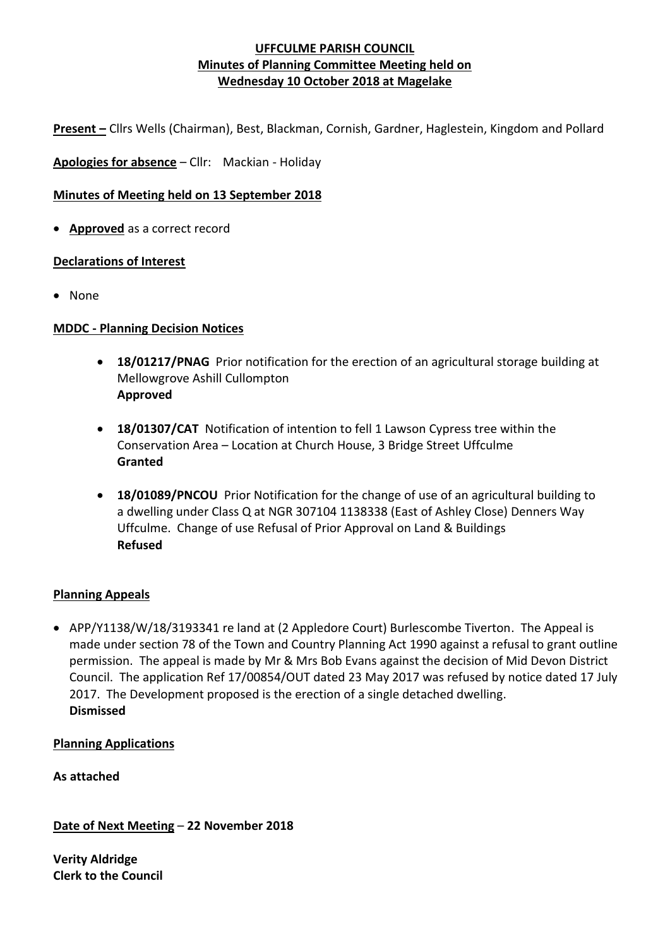**Present –** Cllrs Wells (Chairman), Best, Blackman, Cornish, Gardner, Haglestein, Kingdom and Pollard

**Apologies for absence** – Cllr: Mackian - Holiday

#### **Minutes of Meeting held on 13 September 2018**

• **Approved** as a correct record

#### **Declarations of Interest**

• None

#### **MDDC - Planning Decision Notices**

- **18/01217/PNAG** Prior notification for the erection of an agricultural storage building at Mellowgrove Ashill Cullompton **Approved**
- **18/01307/CAT** Notification of intention to fell 1 Lawson Cypress tree within the Conservation Area – Location at Church House, 3 Bridge Street Uffculme **Granted**
- **18/01089/PNCOU** Prior Notification for the change of use of an agricultural building to a dwelling under Class Q at NGR 307104 1138338 (East of Ashley Close) Denners Way Uffculme. Change of use Refusal of Prior Approval on Land & Buildings **Refused**

#### **Planning Appeals**

• APP/Y1138/W/18/3193341 re land at (2 Appledore Court) Burlescombe Tiverton. The Appeal is made under section 78 of the Town and Country Planning Act 1990 against a refusal to grant outline permission. The appeal is made by Mr & Mrs Bob Evans against the decision of Mid Devon District Council. The application Ref 17/00854/OUT dated 23 May 2017 was refused by notice dated 17 July 2017. The Development proposed is the erection of a single detached dwelling. **Dismissed**

# **Planning Applications**

**As attached**

**Date of Next Meeting** – **22 November 2018**

**Verity Aldridge Clerk to the Council**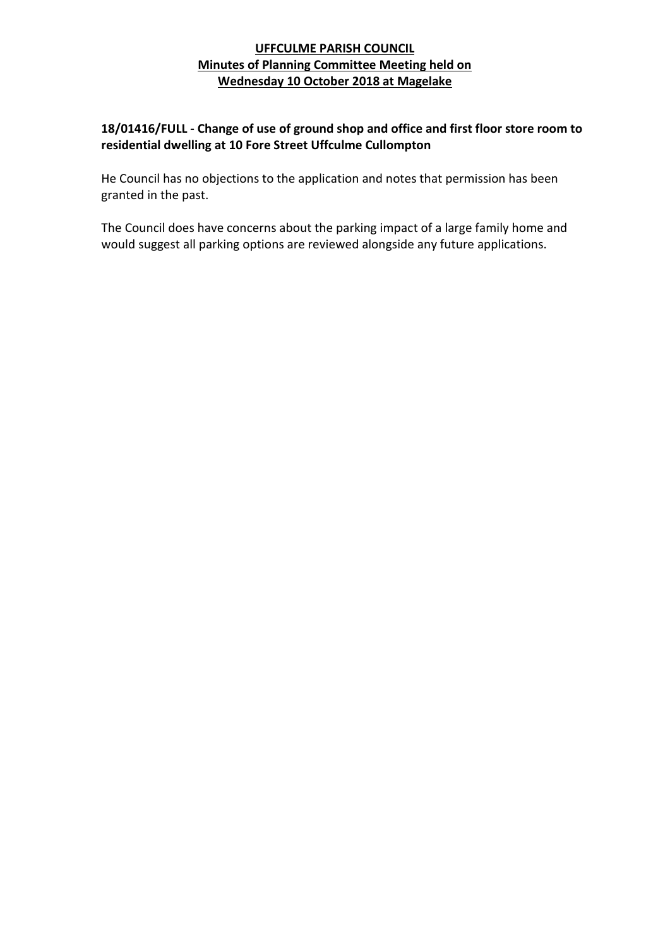# **18/01416/FULL - Change of use of ground shop and office and first floor store room to residential dwelling at 10 Fore Street Uffculme Cullompton**

He Council has no objections to the application and notes that permission has been granted in the past.

The Council does have concerns about the parking impact of a large family home and would suggest all parking options are reviewed alongside any future applications.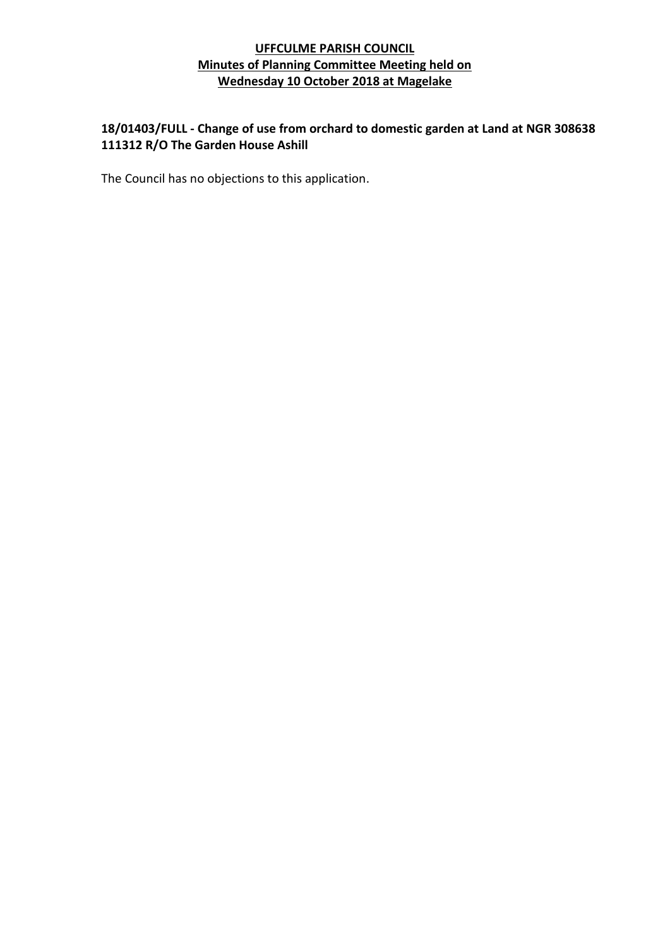# **18/01403/FULL - Change of use from orchard to domestic garden at Land at NGR 308638 111312 R/O The Garden House Ashill**

The Council has no objections to this application.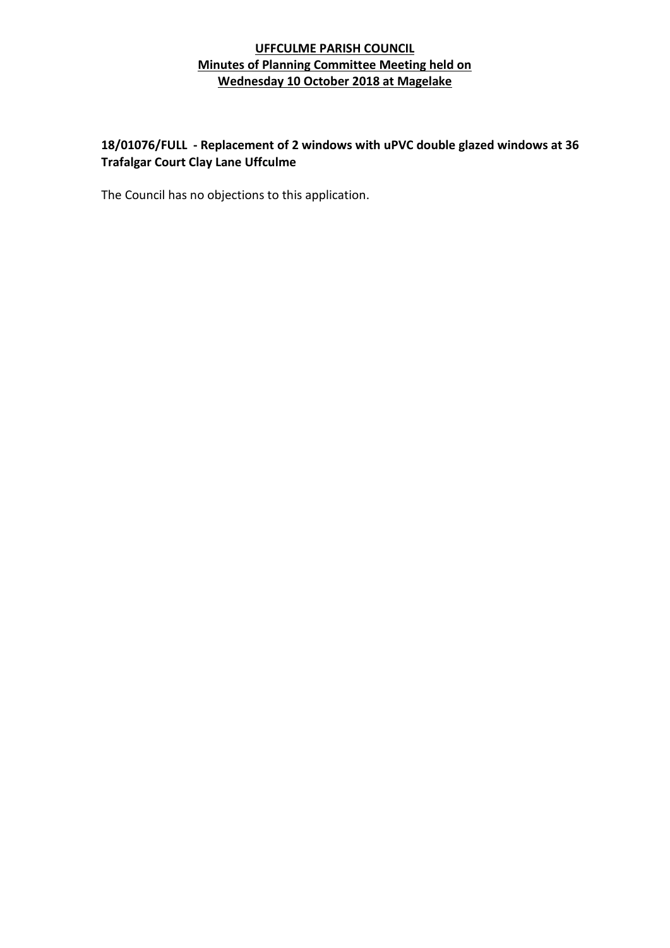# **18/01076/FULL - Replacement of 2 windows with uPVC double glazed windows at 36 Trafalgar Court Clay Lane Uffculme**

The Council has no objections to this application.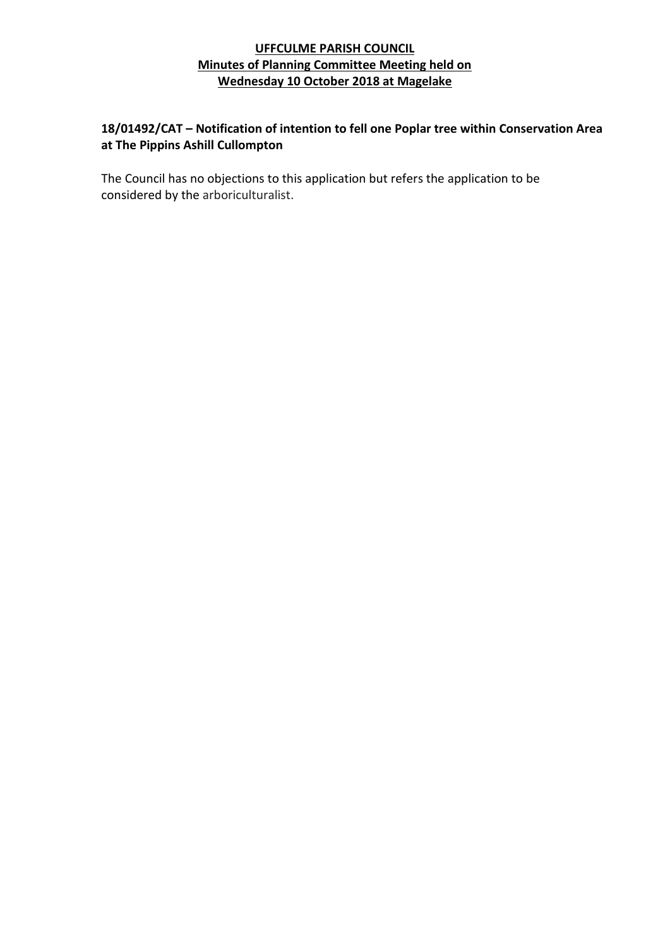# **18/01492/CAT – Notification of intention to fell one Poplar tree within Conservation Area at The Pippins Ashill Cullompton**

The Council has no objections to this application but refers the application to be considered by the arboriculturalist.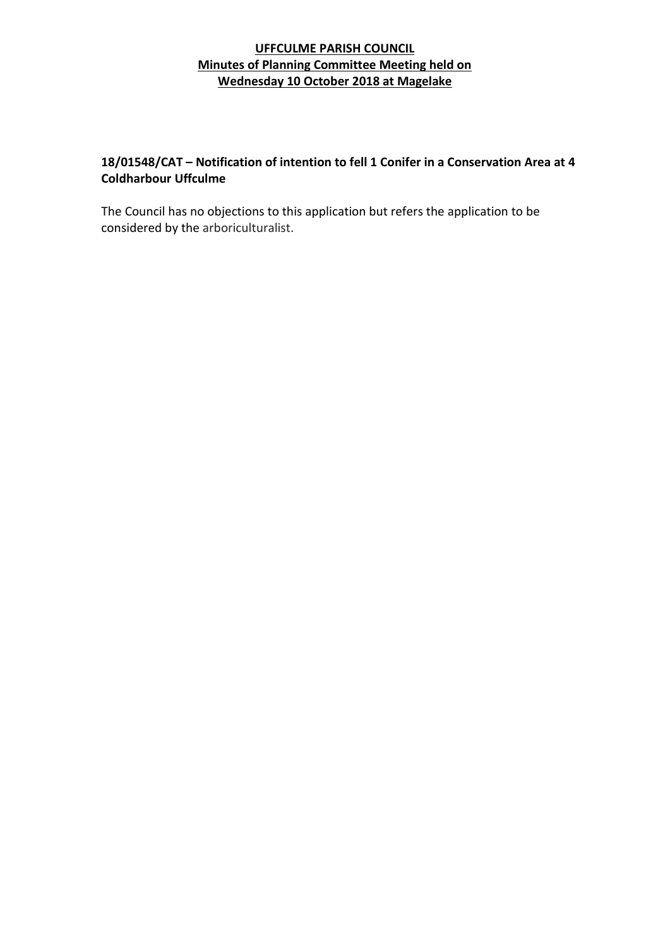# **18/01548/CAT – Notification of intention to fell 1 Conifer in a Conservation Area at 4 Coldharbour Uffculme**

The Council has no objections to this application but refers the application to be considered by the arboriculturalist.